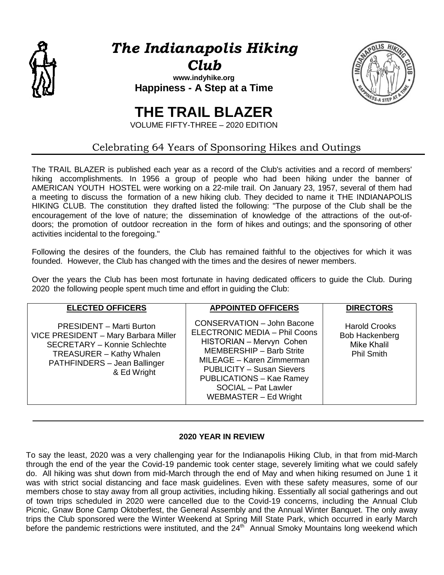

*The Indianapolis Hiking Club*

**[www.indyhike.org](http://www.indyhike.org/) Happiness - A Step at a Time**



# **THE TRAIL BLAZER**

VOLUME FIFTY-THREE – 2020 EDITION

# Celebrating 64 Years of Sponsoring Hikes and Outings

The TRAIL BLAZER is published each year as a record of the Club's activities and a record of members' hiking accomplishments. In 1956 a group of people who had been hiking under the banner of AMERICAN YOUTH HOSTEL were working on a 22-mile trail. On January 23, 1957, several of them had a meeting to discuss the formation of a new hiking club. They decided to name it THE INDIANAPOLIS HIKING CLUB. The constitution they drafted listed the following: "The purpose of the Club shall be the encouragement of the love of nature; the dissemination of knowledge of the attractions of the out-ofdoors; the promotion of outdoor recreation in the form of hikes and outings; and the sponsoring of other activities incidental to the foregoing."

Following the desires of the founders, the Club has remained faithful to the objectives for which it was founded. However, the Club has changed with the times and the desires of newer members.

Over the years the Club has been most fortunate in having dedicated officers to guide the Club. During 2020 the following people spent much time and effort in guiding the Club:

| <b>ELECTED OFFICERS</b>                                                                                                                                                                          | <b>APPOINTED OFFICERS</b>                                                                                                                                                                                                                                                                           | <b>DIRECTORS</b>                                                                  |
|--------------------------------------------------------------------------------------------------------------------------------------------------------------------------------------------------|-----------------------------------------------------------------------------------------------------------------------------------------------------------------------------------------------------------------------------------------------------------------------------------------------------|-----------------------------------------------------------------------------------|
| <b>PRESIDENT - Marti Burton</b><br>VICE PRESIDENT - Mary Barbara Miller<br><b>SECRETARY - Konnie Schlechte</b><br><b>TREASURER - Kathy Whalen</b><br>PATHFINDERS - Jean Ballinger<br>& Ed Wright | <b>CONSERVATION - John Bacone</b><br><b>ELECTRONIC MEDIA - Phil Coons</b><br>HISTORIAN - Mervyn Cohen<br><b>MEMBERSHIP - Barb Strite</b><br>MILEAGE - Karen Zimmerman<br><b>PUBLICITY - Susan Sievers</b><br><b>PUBLICATIONS - Kae Ramey</b><br><b>SOCIAL</b> - Pat Lawler<br>WEBMASTER - Ed Wright | <b>Harold Crooks</b><br><b>Bob Hackenberg</b><br>Mike Khalil<br><b>Phil Smith</b> |

### **2020 YEAR IN REVIEW**

To say the least, 2020 was a very challenging year for the Indianapolis Hiking Club, in that from mid-March through the end of the year the Covid-19 pandemic took center stage, severely limiting what we could safely do. All hiking was shut down from mid-March through the end of May and when hiking resumed on June 1 it was with strict social distancing and face mask guidelines. Even with these safety measures, some of our members chose to stay away from all group activities, including hiking. Essentially all social gatherings and out of town trips scheduled in 2020 were cancelled due to the Covid-19 concerns, including the Annual Club Picnic, Gnaw Bone Camp Oktoberfest, the General Assembly and the Annual Winter Banquet. The only away trips the Club sponsored were the Winter Weekend at Spring Mill State Park, which occurred in early March before the pandemic restrictions were instituted, and the 24<sup>th</sup> Annual Smoky Mountains long weekend which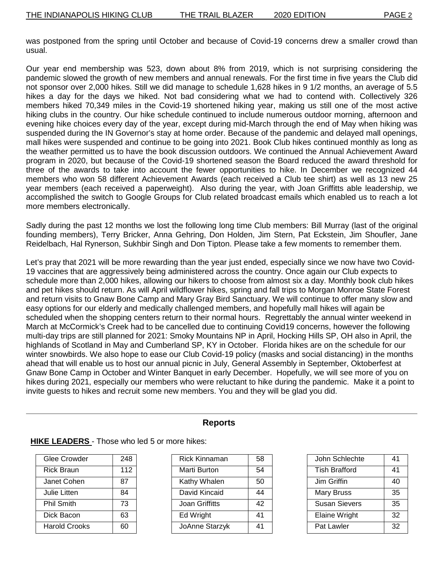was postponed from the spring until October and because of Covid-19 concerns drew a smaller crowd than usual.

Our year end membership was 523, down about 8% from 2019, which is not surprising considering the pandemic slowed the growth of new members and annual renewals. For the first time in five years the Club did not sponsor over 2,000 hikes. Still we did manage to schedule 1,628 hikes in 9 1/2 months, an average of 5.5 hikes a day for the days we hiked. Not bad considering what we had to contend with. Collectively 326 members hiked 70,349 miles in the Covid-19 shortened hiking year, making us still one of the most active hiking clubs in the country. Our hike schedule continued to include numerous outdoor morning, afternoon and evening hike choices every day of the year, except during mid-March through the end of May when hiking was suspended during the IN Governor's stay at home order. Because of the pandemic and delayed mall openings, mall hikes were suspended and continue to be going into 2021. Book Club hikes continued monthly as long as the weather permitted us to have the book discussion outdoors. We continued the Annual Achievement Award program in 2020, but because of the Covid-19 shortened season the Board reduced the award threshold for three of the awards to take into account the fewer opportunities to hike. In December we recognized 44 members who won 58 different Achievement Awards (each received a Club tee shirt) as well as 13 new 25 year members (each received a paperweight). Also during the year, with Joan Griffitts able leadership, we accomplished the switch to Google Groups for Club related broadcast emails which enabled us to reach a lot more members electronically.

Sadly during the past 12 months we lost the following long time Club members: Bill Murray (last of the original founding members), Terry Bricker, Anna Gehring, Don Holden, Jim Stern, Pat Eckstein, Jim Shoufler, Jane Reidelbach, Hal Rynerson, Sukhbir Singh and Don Tipton. Please take a few moments to remember them.

Let's pray that 2021 will be more rewarding than the year just ended, especially since we now have two Covid-19 vaccines that are aggressively being administered across the country. Once again our Club expects to schedule more than 2,000 hikes, allowing our hikers to choose from almost six a day. Monthly book club hikes and pet hikes should return. As will April wildflower hikes, spring and fall trips to Morgan Monroe State Forest and return visits to Gnaw Bone Camp and Mary Gray Bird Sanctuary. We will continue to offer many slow and easy options for our elderly and medically challenged members, and hopefully mall hikes will again be scheduled when the shopping centers return to their normal hours. Regrettably the annual winter weekend in March at McCormick's Creek had to be cancelled due to continuing Covid19 concerns, however the following multi-day trips are still planned for 2021: Smoky Mountains NP in April, Hocking Hills SP, OH also in April, the highlands of Scotland in May and Cumberland SP, KY in October. Florida hikes are on the schedule for our winter snowbirds. We also hope to ease our Club Covid-19 policy (masks and social distancing) in the months ahead that will enable us to host our annual picnic in July, General Assembly in September, Oktoberfest at Gnaw Bone Camp in October and Winter Banquet in early December. Hopefully, we will see more of you on hikes during 2021, especially our members who were reluctant to hike during the pandemic. Make it a point to invite guests to hikes and recruit some new members. You and they will be glad you did.

| Glee Crowder      | 248 |
|-------------------|-----|
| <b>Rick Braun</b> | 112 |
| Janet Cohen       | 87  |
| Julie Litten      | 84  |
| <b>Phil Smith</b> | 73  |
| Dick Bacon        | 63  |
| Harold Crooks     | 60  |

#### **Reports**

#### **HIKE LEADERS** - Those who led 5 or more hikes:

| <b>Rick Kinnaman</b> | 58 |
|----------------------|----|
| Marti Burton         | 54 |
| Kathy Whalen         | 50 |
| David Kincaid        | 44 |
| Joan Griffitts       | 42 |
| Ed Wright            | 41 |
| JoAnne Starzyk       | 41 |

| John Schlechte       | 41 |
|----------------------|----|
| <b>Tish Brafford</b> | 41 |
| Jim Griffin          | 40 |
| Mary Bruss           | 35 |
| <b>Susan Sievers</b> | 35 |
| Elaine Wright        | 32 |
| Pat Lawler           | 32 |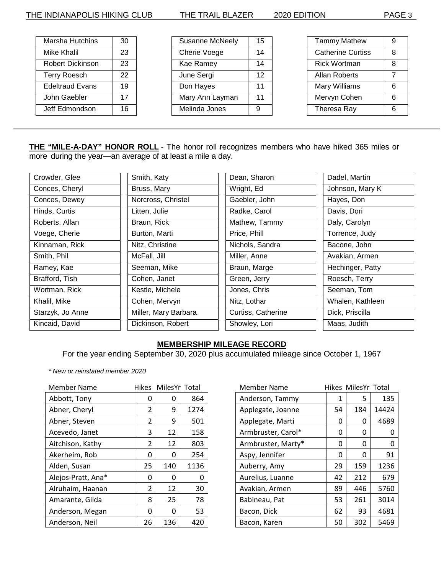| Marsha Hutchins         | 30 |
|-------------------------|----|
| Mike Khalil             | 23 |
| <b>Robert Dickinson</b> | 23 |
| <b>Terry Roesch</b>     | 22 |
| <b>Edeltraud Evans</b>  | 19 |
| John Gaebler            | 17 |
| Jeff Edmondson          | 16 |

| <b>Susanne McNeely</b> | 15 |
|------------------------|----|
| Cherie Voege           | 14 |
| Kae Ramey              | 14 |
| June Sergi             | 12 |
| Don Hayes              | 11 |
| Mary Ann Layman        | 11 |
| Melinda Jones          | g  |
|                        |    |

| <b>Tammy Mathew</b>      | 9   |
|--------------------------|-----|
| <b>Catherine Curtiss</b> | 8   |
| Rick Wortman             | 8   |
| Allan Roberts            | 7   |
| Mary Williams            | 6   |
| Mervyn Cohen             | 6   |
| Theresa Ray              | ี่ค |

**THE "MILE-A-DAY" HONOR ROLL** - The honor roll recognizes members who have hiked 365 miles or more during the year—an average of at least a mile a day.

| Crowder, Glee    | Smith, Katy          | Dean, Sharon       | Dadel, Martin    |
|------------------|----------------------|--------------------|------------------|
| Conces, Cheryl   | Bruss, Mary          | Wright, Ed         | Johnson, Mary K  |
| Conces, Dewey    | Norcross, Christel   | Gaebler, John      | Hayes, Don       |
| Hinds, Curtis    | Litten, Julie        | Radke, Carol       | Davis, Dori      |
| Roberts, Allan   | Braun, Rick          | Mathew, Tammy      | Daly, Carolyn    |
| Voege, Cherie    | Burton, Marti        | Price, Phill       | Torrence, Judy   |
| Kinnaman, Rick   | Nitz, Christine      | Nichols, Sandra    | Bacone, John     |
| Smith, Phil      | McFall, Jill         | Miller, Anne       | Avakian, Armen   |
| Ramey, Kae       | Seeman, Mike         | Braun, Marge       | Hechinger, Patty |
| Brafford, Tish   | Cohen, Janet         | Green, Jerry       | Roesch, Terry    |
| Wortman, Rick    | Kestle, Michele      | Jones, Chris       | Seeman, Tom      |
| Khalil, Mike     | Cohen, Mervyn        | Nitz, Lothar       | Whalen, Kathleen |
| Starzyk, Jo Anne | Miller, Mary Barbara | Curtiss, Catherine | Dick, Priscilla  |
| Kincaid, David   | Dickinson, Robert    | Showley, Lori      | Maas, Judith     |

## **MEMBERSHIP MILEAGE RECORD**

For the year ending September 30, 2020 plus accumulated mileage since October 1, 1967

*\* New or reinstated member 2020*

| <b>Member Name</b> |    | Hikes MilesYr Total |      | <b>Member Name</b> |    | Hikes MilesYr Total |      |
|--------------------|----|---------------------|------|--------------------|----|---------------------|------|
| Abbott, Tony       | 0  | 0                   | 864  | Anderson, Tammy    |    | 5.                  | 13   |
| Abner, Cheryl      | 2  | 9                   | 1274 | Applegate, Joanne  | 54 | 184                 | 1442 |
| Abner, Steven      | 2  | 9                   | 501  | Applegate, Marti   | 0  | $\Omega$            | 468  |
| Acevedo, Janet     | 3  | 12                  | 158  | Armbruster, Carol* | 0  | $\Omega$            |      |
| Aitchison, Kathy   | 2  | 12                  | 803  | Armbruster, Marty* | 0  | $\Omega$            |      |
| Akerheim, Rob      | 0  | 0                   | 254  | Aspy, Jennifer     | 0  | $\Omega$            | 9    |
| Alden, Susan       | 25 | 140                 | 1136 | Auberry, Amy       | 29 | 159                 | 123  |
| Alejos-Pratt, Ana* | 0  | 0                   | 0    | Aurelius, Luanne   | 42 | 212                 | 67   |
| Alruhaim, Haanan   | 2  | 12                  | 30   | Avakian, Armen     | 89 | 446                 | 576  |
| Amarante, Gilda    | 8  | 25                  | 78   | Babineau, Pat      | 53 | 261                 | 301  |
| Anderson, Megan    | 0  | $\Omega$            | 53   | Bacon, Dick        | 62 | 93                  | 468  |
| Anderson, Neil     | 26 | 136                 | 420  | Bacon, Karen       | 50 | 302                 | 546  |

| Member Name        | Hikes MilesYr Total |     |       |
|--------------------|---------------------|-----|-------|
| Anderson, Tammy    | 1                   | 5   | 135   |
| Applegate, Joanne  | 54                  | 184 | 14424 |
| Applegate, Marti   | 0                   | 0   | 4689  |
| Armbruster, Carol* | 0                   | 0   | 0     |
| Armbruster, Marty* | 0                   | 0   | 0     |
| Aspy, Jennifer     | 0                   | O   | 91    |
| Auberry, Amy       | 29                  | 159 | 1236  |
| Aurelius, Luanne   | 42                  | 212 | 679   |
| Avakian, Armen     | 89                  | 446 | 5760  |
| Babineau, Pat      | 53                  | 261 | 3014  |
| Bacon, Dick        | 62                  | 93  | 4681  |
| Bacon, Karen       | 50                  | 302 | 5469  |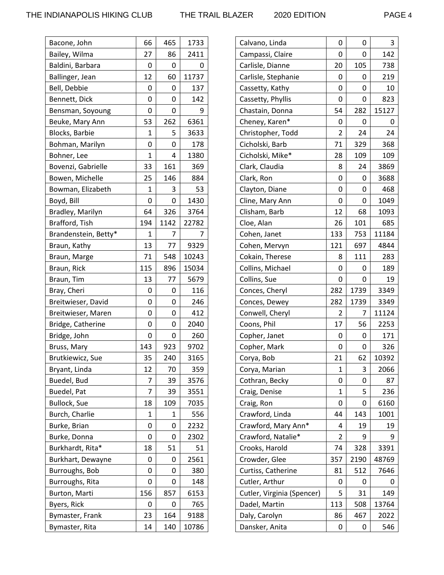| Bacone, John          | 66           | 465  | 1733  |
|-----------------------|--------------|------|-------|
| Bailey, Wilma         | 27           | 86   | 2411  |
| Baldini, Barbara      | 0            | 0    | 0     |
| Ballinger, Jean       | 12           | 60   | 11737 |
| Bell, Debbie          | 0            | 0    | 137   |
| Bennett, Dick         | 0            | 0    | 142   |
| Bensman, Soyoung      | 0            | 0    | 9     |
| Beuke, Mary Ann       | 53           | 262  | 6361  |
| <b>Blocks, Barbie</b> | 1            | 5    | 3633  |
| Bohman, Marilyn       | 0            | 0    | 178   |
| Bohner, Lee           | 1            | 4    | 1380  |
| Bovenzi, Gabrielle    | 33           | 161  | 369   |
| Bowen, Michelle       | 25           | 146  | 884   |
| Bowman, Elizabeth     | 1            | 3    | 53    |
| Boyd, Bill            | 0            | 0    | 1430  |
| Bradley, Marilyn      | 64           | 326  | 3764  |
| Brafford, Tish        | 194          | 1142 | 22782 |
| Brandenstein, Betty*  | $\mathbf{1}$ | 7    | 7     |
| Braun, Kathy          | 13           | 77   | 9329  |
| Braun, Marge          | 71           | 548  | 10243 |
| Braun, Rick           | 115          | 896  | 15034 |
| Braun, Tim            | 13           | 77   | 5679  |
| Bray, Cheri           | 0            | 0    | 116   |
| Breitwieser, David    | 0            | 0    | 246   |
| Breitwieser, Maren    | 0            | 0    | 412   |
| Bridge, Catherine     | 0            | 0    | 2040  |
| Bridge, John          | 0            | 0    | 260   |
| Bruss, Mary           | 143          | 923  | 9702  |
| Brutkiewicz, Sue      | 35           | 240  | 3165  |
| Bryant, Linda         | 12           | 70   | 359   |
| Buedel, Bud           | 7            | 39   | 3576  |
| Buedel, Pat           | 7            | 39   | 3551  |
| <b>Bullock, Sue</b>   | 18           | 109  | 7035  |
| Burch, Charlie        | 1            | 1    | 556   |
| Burke, Brian          | 0            | 0    | 2232  |
| Burke, Donna          | 0            | 0    | 2302  |
| Burkhardt, Rita*      | 18           | 51   | 51    |
| Burkhart, Dewayne     | 0            | 0    | 2561  |
| Burroughs, Bob        | 0            | 0    | 380   |
| Burroughs, Rita       | 0            | 0    | 148   |
| Burton, Marti         | 156          | 857  | 6153  |
| Byers, Rick           | 0            | 0    | 765   |
| Bymaster, Frank       | 23           | 164  | 9188  |
| Bymaster, Rita        | 14           | 140  | 10786 |

| Calvano, Linda             | 0              | 0    | 3     |
|----------------------------|----------------|------|-------|
| Campassi, Claire           | 0              | 0    | 142   |
| Carlisle, Dianne           | 20             | 105  | 738   |
| Carlisle, Stephanie        | 0              | 0    | 219   |
| Cassetty, Kathy            | 0              | 0    | 10    |
| Cassetty, Phyllis          | 0              | 0    | 823   |
| Chastain, Donna            | 54             | 282  | 15127 |
| Cheney, Karen*             | 0              | 0    | 0     |
| Christopher, Todd          | $\overline{2}$ | 24   | 24    |
| Cicholski, Barb            | 71             | 329  | 368   |
| Cicholski, Mike*           | 28             | 109  | 109   |
| Clark, Claudia             | 8              | 24   | 3869  |
| Clark, Ron                 | 0              | 0    | 3688  |
| Clayton, Diane             | 0              | 0    | 468   |
| Cline, Mary Ann            | 0              | 0    | 1049  |
| Clisham, Barb              | 12             | 68   | 1093  |
| Cloe, Alan                 | 26             | 101  | 685   |
| Cohen, Janet               | 133            | 753  | 11184 |
| Cohen, Mervyn              | 121            | 697  | 4844  |
| Cokain, Therese            | 8              | 111  | 283   |
| Collins, Michael           | 0              | 0    | 189   |
| Collins, Sue               | 0              | 0    | 19    |
| Conces, Cheryl             | 282            | 1739 | 3349  |
| Conces, Dewey              | 282            | 1739 | 3349  |
| Conwell, Cheryl            | 2              | 7    | 11124 |
| Coons, Phil                | 17             | 56   | 2253  |
| Copher, Janet              | 0              | 0    | 171   |
| Copher, Mark               | 0              | 0    | 326   |
| Corya, Bob                 | 21             | 62   | 10392 |
| Corya, Marian              | 1              | 3    | 2066  |
| Cothran, Becky             | 0              | 0    | 87    |
| Craig, Denise              | 1              | 5    | 236   |
| Craig, Ron                 | 0              | 0    | 6160  |
| Crawford, Linda            | 44             | 143  | 1001  |
| Crawford, Mary Ann*        | 4              | 19   | 19    |
| Crawford, Natalie*         | 2              | 9    | 9     |
| Crooks, Harold             | 74             | 328  | 3391  |
| Crowder, Glee              | 357            | 2190 | 48769 |
| Curtiss, Catherine         | 81             | 512  | 7646  |
| Cutler, Arthur             | 0              | 0    | 0     |
| Cutler, Virginia (Spencer) | 5              | 31   | 149   |
| Dadel, Martin              | 113            | 508  | 13764 |
| Daly, Carolyn              | 86             | 467  | 2022  |
| Dansker, Anita             | 0              | 0    | 546   |
|                            |                |      |       |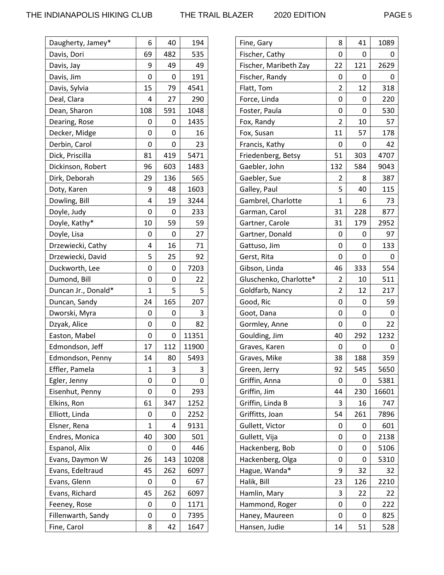| Daugherty, Jamey*   | 6           | 40  | 194   |
|---------------------|-------------|-----|-------|
| Davis, Dori         | 69          | 482 | 535   |
| Davis, Jay          | 9           | 49  | 49    |
| Davis, Jim          | 0           | 0   | 191   |
| Davis, Sylvia       | 15          | 79  | 4541  |
| Deal, Clara         | 4           | 27  | 290   |
| Dean, Sharon        | 108         | 591 | 1048  |
| Dearing, Rose       | 0           | 0   | 1435  |
| Decker, Midge       | 0           | 0   | 16    |
| Derbin, Carol       | 0           | 0   | 23    |
| Dick, Priscilla     | 81          | 419 | 5471  |
| Dickinson, Robert   | 96          | 603 | 1483  |
| Dirk, Deborah       | 29          | 136 | 565   |
| Doty, Karen         | 9           | 48  | 1603  |
| Dowling, Bill       | 4           | 19  | 3244  |
| Doyle, Judy         | 0           | 0   | 233   |
| Doyle, Kathy*       | 10          | 59  | 59    |
| Doyle, Lisa         | 0           | 0   | 27    |
| Drzewiecki, Cathy   | 4           | 16  | 71    |
| Drzewiecki, David   | 5           | 25  | 92    |
| Duckworth, Lee      | 0           | 0   | 7203  |
| Dumond, Bill        | 0           | 0   | 22    |
| Duncan Jr., Donald* | $\mathbf 1$ | 5   | 5     |
| Duncan, Sandy       | 24          | 165 | 207   |
| Dworski, Myra       | 0           | 0   | 3     |
| Dzyak, Alice        | 0           | 0   | 82    |
| Easton, Mabel       | 0           | 0   | 11351 |
| Edmondson, Jeff     | 17          | 112 | 11900 |
| Edmondson, Penny    | 14          | 80  | 5493  |
| Effler, Pamela      | 1           | 3   | 3     |
| Egler, Jenny        | 0           | 0   | 0     |
| Eisenhut, Penny     | 0           | 0   | 293   |
| Elkins, Ron         | 61          | 347 | 1252  |
| Elliott, Linda      | 0           | 0   | 2252  |
| Elsner, Rena        | 1           | 4   | 9131  |
| Endres, Monica      | 40          | 300 | 501   |
| Espanol, Alix       | 0           | 0   | 446   |
| Evans, Daymon W     | 26          | 143 | 10208 |
| Evans, Edeltraud    | 45          | 262 | 6097  |
| Evans, Glenn        | 0           | 0   | 67    |
| Evans, Richard      | 45          | 262 | 6097  |
| Feeney, Rose        | 0           | 0   | 1171  |
| Fillenwarth, Sandy  | 0           | 0   | 7395  |
|                     |             |     |       |

| Fine, Gary             | 8              | 41  | 1089  |
|------------------------|----------------|-----|-------|
| Fischer, Cathy         | 0              | 0   | O     |
| Fischer, Maribeth Zay  | 22             | 121 | 2629  |
| Fischer, Randy         | 0              | 0   | O     |
| Flatt, Tom             | $\overline{2}$ | 12  | 318   |
| Force, Linda           | 0              | 0   | 220   |
| Foster, Paula          | 0              | 0   | 530   |
| Fox, Randy             | $\overline{2}$ | 10  | 57    |
| Fox, Susan             | 11             | 57  | 178   |
| Francis, Kathy         | 0              | 0   | 42    |
| Friedenberg, Betsy     | 51             | 303 | 4707  |
| Gaebler, John          | 132            | 584 | 9043  |
| Gaebler, Sue           | 2              | 8   | 387   |
| Galley, Paul           | 5              | 40  | 115   |
| Gambrel, Charlotte     | 1              | 6   | 73    |
| Garman, Carol          | 31             | 228 | 877   |
| Gartner, Carole        | 31             | 179 | 2952  |
| Gartner, Donald        | 0              | 0   | 97    |
| Gattuso, Jim           | 0              | 0   | 133   |
| Gerst, Rita            | 0              | 0   | 0     |
| Gibson, Linda          | 46             | 333 | 554   |
| Gluschenko, Charlotte* | 2              | 10  | 511   |
| Goldfarb, Nancy        | 2              | 12  | 217   |
| Good, Ric              | 0              | 0   | 59    |
| Goot, Dana             | 0              | 0   | 0     |
| Gormley, Anne          | 0              | 0   | 22    |
| Goulding, Jim          | 40             | 292 | 1232  |
| Graves, Karen          | 0              | 0   | O     |
| Graves, Mike           | 38             | 188 | 359   |
| Green, Jerry           | 92             | 545 | 5650  |
| Griffin, Anna          | 0              | 0   | 5381  |
| Griffin, Jim           | 44             | 230 | 16601 |
| Griffin, Linda B       | 3              | 16  | 747   |
| Griffitts, Joan        | 54             | 261 | 7896  |
| Gullett, Victor        | 0              | 0   | 601   |
| Gullett, Vija          | 0              | 0   | 2138  |
| Hackenberg, Bob        | 0              | 0   | 5106  |
| Hackenberg, Olga       | 0              | 0   | 5310  |
| Hague, Wanda*          | 9              | 32  | 32    |
| Halik, Bill            | 23             | 126 | 2210  |
| Hamlin, Mary           | 3              | 22  | 22    |
| Hammond, Roger         | 0              | 0   | 222   |
| Haney, Maureen         | 0              | 0   | 825   |
| Hansen, Judie          | 14             | 51  | 528   |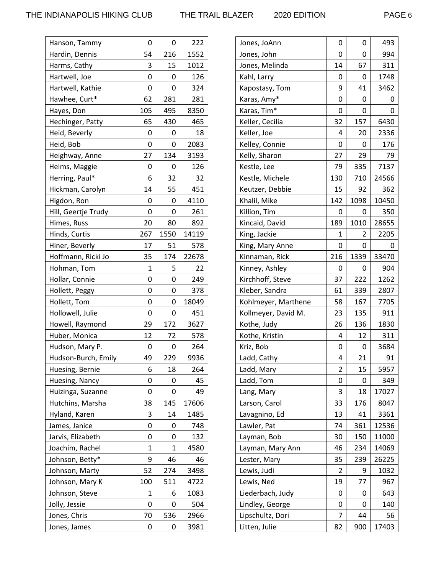| Hanson, Tammy       | 0   | 0    | 222   |
|---------------------|-----|------|-------|
| Hardin, Dennis      | 54  | 216  | 1552  |
| Harms, Cathy        | 3   | 15   | 1012  |
| Hartwell, Joe       | 0   | 0    | 126   |
| Hartwell, Kathie    | 0   | 0    | 324   |
| Hawhee, Curt*       | 62  | 281  | 281   |
| Hayes, Don          | 105 | 495  | 8350  |
| Hechinger, Patty    | 65  | 430  | 465   |
| Heid, Beverly       | 0   | 0    | 18    |
| Heid, Bob           | 0   | 0    | 2083  |
| Heighway, Anne      | 27  | 134  | 3193  |
| Helms, Maggie       | 0   | 0    | 126   |
| Herring, Paul*      | 6   | 32   | 32    |
| Hickman, Carolyn    | 14  | 55   | 451   |
| Higdon, Ron         | 0   | 0    | 4110  |
| Hill, Geertje Trudy | 0   | 0    | 261   |
| Himes, Russ         | 20  | 80   | 892   |
| Hinds, Curtis       | 267 | 1550 | 14119 |
| Hiner, Beverly      | 17  | 51   | 578   |
| Hoffmann, Ricki Jo  | 35  | 174  | 22678 |
| Hohman, Tom         | 1   | 5    | 22    |
| Hollar, Connie      | 0   | 0    | 249   |
| Hollett, Peggy      | 0   | 0    | 378   |
| Hollett, Tom        | 0   | 0    | 18049 |
| Hollowell, Julie    | 0   | 0    | 451   |
| Howell, Raymond     | 29  | 172  | 3627  |
| Huber, Monica       | 12  | 72   | 578   |
| Hudson, Mary P.     | 0   | 0    | 264   |
| Hudson-Burch, Emily | 49  | 229  | 9936  |
| Huesing, Bernie     | 6   | 18   | 264   |
| Huesing, Nancy      | 0   | 0    | 45    |
| Huizinga, Suzanne   | 0   | 0    | 49    |
| Hutchins, Marsha    | 38  | 145  | 17606 |
| Hyland, Karen       | 3   | 14   | 1485  |
| James, Janice       | 0   | 0    | 748   |
| Jarvis, Elizabeth   | 0   | 0    | 132   |
| Joachim, Rachel     | 1   | 1    | 4580  |
| Johnson, Betty*     | 9   | 46   | 46    |
| Johnson, Marty      | 52  | 274  | 3498  |
| Johnson, Mary K     | 100 | 511  | 4722  |
| Johnson, Steve      | 1   | 6    | 1083  |
| Jolly, Jessie       | 0   | 0    | 504   |
| Jones, Chris        | 70  | 536  | 2966  |
| Jones, James        | 0   | 0    | 3981  |

| Jones, JoAnn        | 0              | 0    | 493   |
|---------------------|----------------|------|-------|
| Jones, John         | 0              | 0    | 994   |
| Jones, Melinda      | 14             | 67   | 311   |
| Kahl, Larry         | 0              | 0    | 1748  |
| Kapostasy, Tom      | 9              | 41   | 3462  |
| Karas, Amy*         | 0              | 0    | 0     |
| Karas, Tim*         | 0              | 0    | 0     |
| Keller, Cecilia     | 32             | 157  | 6430  |
| Keller, Joe         | 4              | 20   | 2336  |
| Kelley, Connie      | 0              | 0    | 176   |
| Kelly, Sharon       | 27             | 29   | 79    |
| Kestle, Lee         | 79             | 335  | 7137  |
| Kestle, Michele     | 130            | 710  | 24566 |
| Keutzer, Debbie     | 15             | 92   | 362   |
| Khalil, Mike        | 142            | 1098 | 10450 |
| Killion, Tim        | 0              | 0    | 350   |
| Kincaid, David      | 189            | 1010 | 28655 |
| King, Jackie        | 1              | 2    | 2205  |
| King, Mary Anne     | 0              | 0    | 0     |
| Kinnaman, Rick      | 216            | 1339 | 33470 |
| Kinney, Ashley      | 0              | 0    | 904   |
| Kirchhoff, Steve    | 37             | 222  | 1262  |
| Kleber, Sandra      | 61             | 339  | 2807  |
| Kohlmeyer, Marthene | 58             | 167  | 7705  |
| Kollmeyer, David M. | 23             | 135  | 911   |
| Kothe, Judy         | 26             | 136  | 1830  |
| Kothe, Kristin      | 4              | 12   | 311   |
| Kriz, Bob           | 0              | 0    | 3684  |
| Ladd, Cathy         | 4              | 21   | 91    |
| Ladd, Mary          | $\overline{2}$ | 15   | 5957  |
| Ladd, Tom           | 0              | 0    | 349   |
| Lang, Mary          | 3              | 18   | 17027 |
| Larson, Carol       | 33             | 176  | 8047  |
| Lavagnino, Ed       | 13             | 41   | 3361  |
| Lawler, Pat         | 74             | 361  | 12536 |
| Layman, Bob         | 30             | 150  | 11000 |
| Layman, Mary Ann    | 46             | 234  | 14069 |
| Lester, Mary        | 35             | 239  | 26225 |
| Lewis, Judi         | 2              | 9    | 1032  |
| Lewis, Ned          | 19             | 77   | 967   |
| Liederbach, Judy    | 0              | 0    | 643   |
| Lindley, George     | 0              | 0    | 140   |
| Lipschultz, Dori    | 7              | 44   | 56    |
| Litten, Julie       | 82             | 900  | 17403 |
|                     |                |      |       |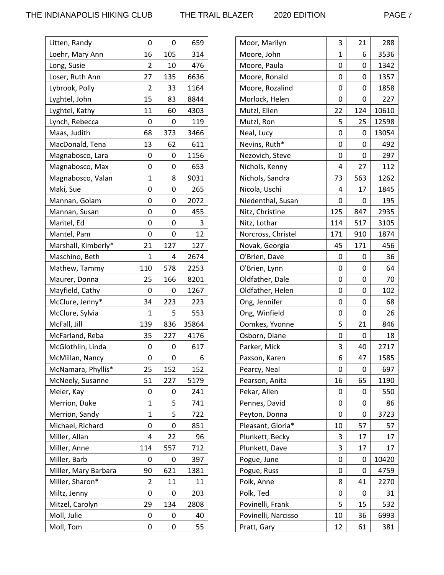| Litten, Randy        | 0   | 0   | 659   |
|----------------------|-----|-----|-------|
| Loehr, Mary Ann      | 16  | 105 | 314   |
| Long, Susie          | 2   | 10  | 476   |
| Loser, Ruth Ann      | 27  | 135 | 6636  |
| Lybrook, Polly       | 2   | 33  | 1164  |
| Lyghtel, John        | 15  | 83  | 8844  |
| Lyghtel, Kathy       | 11  | 60  | 4303  |
| Lynch, Rebecca       | 0   | 0   | 119   |
| Maas, Judith         | 68  | 373 | 3466  |
| MacDonald, Tena      | 13  | 62  | 611   |
| Magnabosco, Lara     | 0   | 0   | 1156  |
| Magnabosco, Max      | 0   | 0   | 653   |
| Magnabosco, Valan    | 1   | 8   | 9031  |
| Maki, Sue            | 0   | 0   | 265   |
| Mannan, Golam        | 0   | 0   | 2072  |
| Mannan, Susan        | 0   | 0   | 455   |
| Mantel, Ed           | 0   | 0   | 3     |
| Mantel, Pam          | 0   | 0   | 12    |
| Marshall, Kimberly*  | 21  | 127 | 127   |
| Maschino, Beth       | 1   | 4   | 2674  |
| Mathew, Tammy        | 110 | 578 | 2253  |
| Maurer, Donna        | 25  | 166 | 8201  |
| Mayfield, Cathy      | 0   | 0   | 1267  |
| McClure, Jenny*      | 34  | 223 | 223   |
| McClure, Sylvia      | 1   | 5   | 553   |
| McFall, Jill         | 139 | 836 | 35864 |
| McFarland, Reba      | 35  | 227 | 4176  |
| McGlothlin, Linda    | 0   | 0   | 617   |
| McMillan, Nancy      | 0   | 0   | 6     |
| McNamara, Phyllis*   | 25  | 152 | 152   |
| McNeely, Susanne     | 51  | 227 | 5179  |
| Meier, Kay           | 0   | 0   | 241   |
| Merrion, Duke        | 1   | 5   | 741   |
| Merrion, Sandy       | 1   | 5   | 722   |
| Michael, Richard     | 0   | 0   | 851   |
| Miller, Allan        | 4   | 22  | 96    |
| Miller, Anne         | 114 | 557 | 712   |
| Miller, Barb         | 0   | 0   | 397   |
| Miller, Mary Barbara | 90  | 621 | 1381  |
| Miller, Sharon*      | 2   | 11  | 11    |
| Miltz, Jenny         | 0   | 0   | 203   |
| Mitzel, Carolyn      | 29  | 134 | 2808  |
| Moll, Julie          | 0   | 0   | 40    |
| Moll, Tom            | 0   | 0   | 55    |
|                      |     |     |       |

| Moor, Marilyn       | 3   | 21  | 288   |
|---------------------|-----|-----|-------|
| Moore, John         | 1   | 6   | 3536  |
| Moore, Paula        | 0   | 0   | 1342  |
| Moore, Ronald       | 0   | 0   | 1357  |
| Moore, Rozalind     | 0   | 0   | 1858  |
| Morlock, Helen      | 0   | 0   | 227   |
| Mutzl, Ellen        | 22  | 124 | 10610 |
| Mutzl, Ron          | 5   | 25  | 12598 |
| Neal, Lucy          | 0   | 0   | 13054 |
| Nevins, Ruth*       | 0   | 0   | 492   |
| Nezovich, Steve     | 0   | 0   | 297   |
| Nichols, Kenny      | 4   | 27  | 112   |
| Nichols, Sandra     | 73  | 563 | 1262  |
| Nicola, Uschi       | 4   | 17  | 1845  |
| Niedenthal, Susan   | 0   | 0   | 195   |
| Nitz, Christine     | 125 | 847 | 2935  |
| Nitz, Lothar        | 114 | 517 | 3105  |
| Norcross, Christel  | 171 | 910 | 1874  |
| Novak, Georgia      | 45  | 171 | 456   |
| O'Brien, Dave       | 0   | 0   | 36    |
| O'Brien, Lynn       | 0   | 0   | 64    |
| Oldfather, Dale     | 0   | 0   | 70    |
| Oldfather, Helen    | 0   | 0   | 102   |
| Ong, Jennifer       | 0   | 0   | 68    |
| Ong, Winfield       | 0   | 0   | 26    |
| Oomkes, Yvonne      | 5   | 21  | 846   |
| Osborn, Diane       | 0   | 0   | 18    |
| Parker, Mick        | 3   | 40  | 2717  |
| Paxson, Karen       | 6   | 47  | 1585  |
| Pearcy, Neal        | 0   | 0   | 697   |
| Pearson, Anita      | 16  | 65  | 1190  |
| Pekar, Allen        | 0   | 0   | 550   |
| Pennes, David       | 0   | 0   | 86    |
| Peyton, Donna       | 0   | 0   | 3723  |
| Pleasant, Gloria*   | 10  | 57  | 57    |
| Plunkett, Becky     | 3   | 17  | 17    |
| Plunkett, Dave      | 3   | 17  | 17    |
| Pogue, June         | 0   | 0   | 10420 |
| Pogue, Russ         | 0   | 0   | 4759  |
| Polk, Anne          | 8   | 41  | 2270  |
| Polk, Ted           | 0   | 0   | 31    |
| Povinelli, Frank    | 5   | 15  | 532   |
| Povinelli, Narcisso | 10  | 36  | 6993  |
| Pratt, Gary         | 12  | 61  | 381   |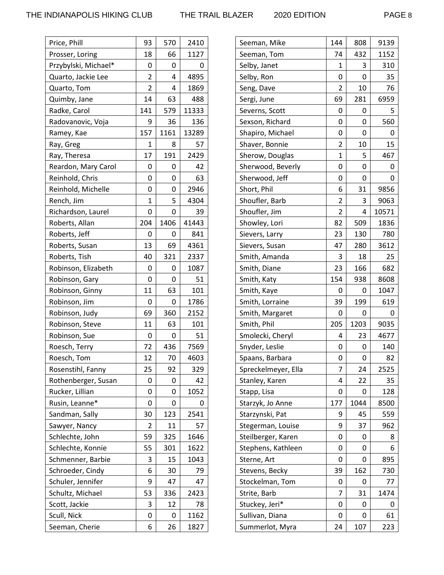| Price, Phill         | 93             | 570  | 2410  |
|----------------------|----------------|------|-------|
| Prosser, Loring      | 18             | 66   | 1127  |
| Przybylski, Michael* | 0              | 0    | 0     |
| Quarto, Jackie Lee   | 2              | 4    | 4895  |
| Quarto, Tom          | $\overline{2}$ | 4    | 1869  |
| Quimby, Jane         | 14             | 63   | 488   |
| Radke, Carol         | 141            | 579  | 11333 |
| Radovanovic, Voja    | 9              | 36   | 136   |
| Ramey, Kae           | 157            | 1161 | 13289 |
| Ray, Greg            | 1              | 8    | 57    |
| Ray, Theresa         | 17             | 191  | 2429  |
| Reardon, Mary Carol  | 0              | 0    | 42    |
| Reinhold, Chris      | 0              | 0    | 63    |
| Reinhold, Michelle   | 0              | 0    | 2946  |
| Rench, Jim           | 1              | 5    | 4304  |
| Richardson, Laurel   | 0              | 0    | 39    |
| Roberts, Allan       | 204            | 1406 | 41443 |
| Roberts, Jeff        | 0              | 0    | 841   |
| Roberts, Susan       | 13             | 69   | 4361  |
| Roberts, Tish        | 40             | 321  | 2337  |
| Robinson, Elizabeth  | 0              | 0    | 1087  |
| Robinson, Gary       | 0              | 0    | 51    |
| Robinson, Ginny      | 11             | 63   | 101   |
| Robinson, Jim        | 0              | 0    | 1786  |
| Robinson, Judy       | 69             | 360  | 2152  |
| Robinson, Steve      | 11             | 63   | 101   |
| Robinson, Sue        | 0              | 0    | 51    |
| Roesch, Terry        | 72             | 436  | 7569  |
| Roesch, Tom          | 12             | 70   | 4603  |
| Rosenstihl, Fanny    | 25             | 92   | 329   |
| Rothenberger, Susan  | 0              | 0    | 42    |
| Rucker, Lillian      | 0              | 0    | 1052  |
| Rusin, Leanne*       | 0              | 0    | 0     |
| Sandman, Sally       | 30             | 123  | 2541  |
| Sawyer, Nancy        | 2              | 11   | 57    |
| Schlechte, John      | 59             | 325  | 1646  |
| Schlechte, Konnie    | 55             | 301  | 1622  |
| Schmenner, Barbie    | 3              | 15   | 1043  |
| Schroeder, Cindy     | 6              | 30   | 79    |
| Schuler, Jennifer    | 9              | 47   | 47    |
| Schultz, Michael     | 53             | 336  | 2423  |
| Scott, Jackie        | 3              | 12   | 78    |
| Scull, Nick          | 0              | 0    | 1162  |
| Seeman, Cherie       | 6              | 26   | 1827  |

| Seeman, Mike        | 144            | 808  | 9139  |
|---------------------|----------------|------|-------|
| Seeman, Tom         | 74             | 432  | 1152  |
| Selby, Janet        | 1              | 3    | 310   |
| Selby, Ron          | 0              | 0    | 35    |
| Seng, Dave          | 2              | 10   | 76    |
| Sergi, June         | 69             | 281  | 6959  |
| Severns, Scott      | 0              | 0    | 5     |
| Sexson, Richard     | 0              | 0    | 560   |
| Shapiro, Michael    | 0              | 0    | 0     |
| Shaver, Bonnie      | 2              | 10   | 15    |
| Sherow, Douglas     | $\mathbf 1$    | 5    | 467   |
| Sherwood, Beverly   | 0              | 0    | 0     |
| Sherwood, Jeff      | 0              | 0    | 0     |
| Short, Phil         | 6              | 31   | 9856  |
| Shoufler, Barb      | 2              | 3    | 9063  |
| Shoufler, Jim       | $\overline{2}$ | 4    | 10571 |
| Showley, Lori       | 82             | 509  | 1836  |
| Sievers, Larry      | 23             | 130  | 780   |
| Sievers, Susan      | 47             | 280  | 3612  |
| Smith, Amanda       | 3              | 18   | 25    |
| Smith, Diane        | 23             | 166  | 682   |
| Smith, Katy         | 154            | 938  | 8608  |
| Smith, Kaye         | 0              | 0    | 1047  |
| Smith, Lorraine     | 39             | 199  | 619   |
| Smith, Margaret     | 0              | 0    | 0     |
| Smith, Phil         | 205            | 1203 | 9035  |
| Smolecki, Cheryl    | 4              | 23   | 4677  |
| Snyder, Leslie      | 0              | 0    | 140   |
| Spaans, Barbara     | 0              | 0    | 82    |
| Spreckelmeyer, Ella | 7              | 24   | 2525  |
| Stanley, Karen      | 4              | 22   | 35    |
| Stapp, Lisa         | 0              | 0    | 128   |
| Starzyk, Jo Anne    | 177            | 1044 | 8500  |
| Starzynski, Pat     | 9              | 45   | 559   |
| Stegerman, Louise   | 9              | 37   | 962   |
| Steilberger, Karen  | 0              | 0    | 8     |
| Stephens, Kathleen  | 0              | 0    | 6     |
| Sterne, Art         | 0              | 0    | 895   |
| Stevens, Becky      | 39             | 162  | 730   |
| Stockelman, Tom     | 0              | 0    | 77    |
| Strite, Barb        | 7              | 31   | 1474  |
| Stuckey, Jeri*      | 0              | 0    | 0     |
| Sullivan, Diana     | 0              | 0    | 61    |
| Summerlot, Myra     | 24             | 107  | 223   |